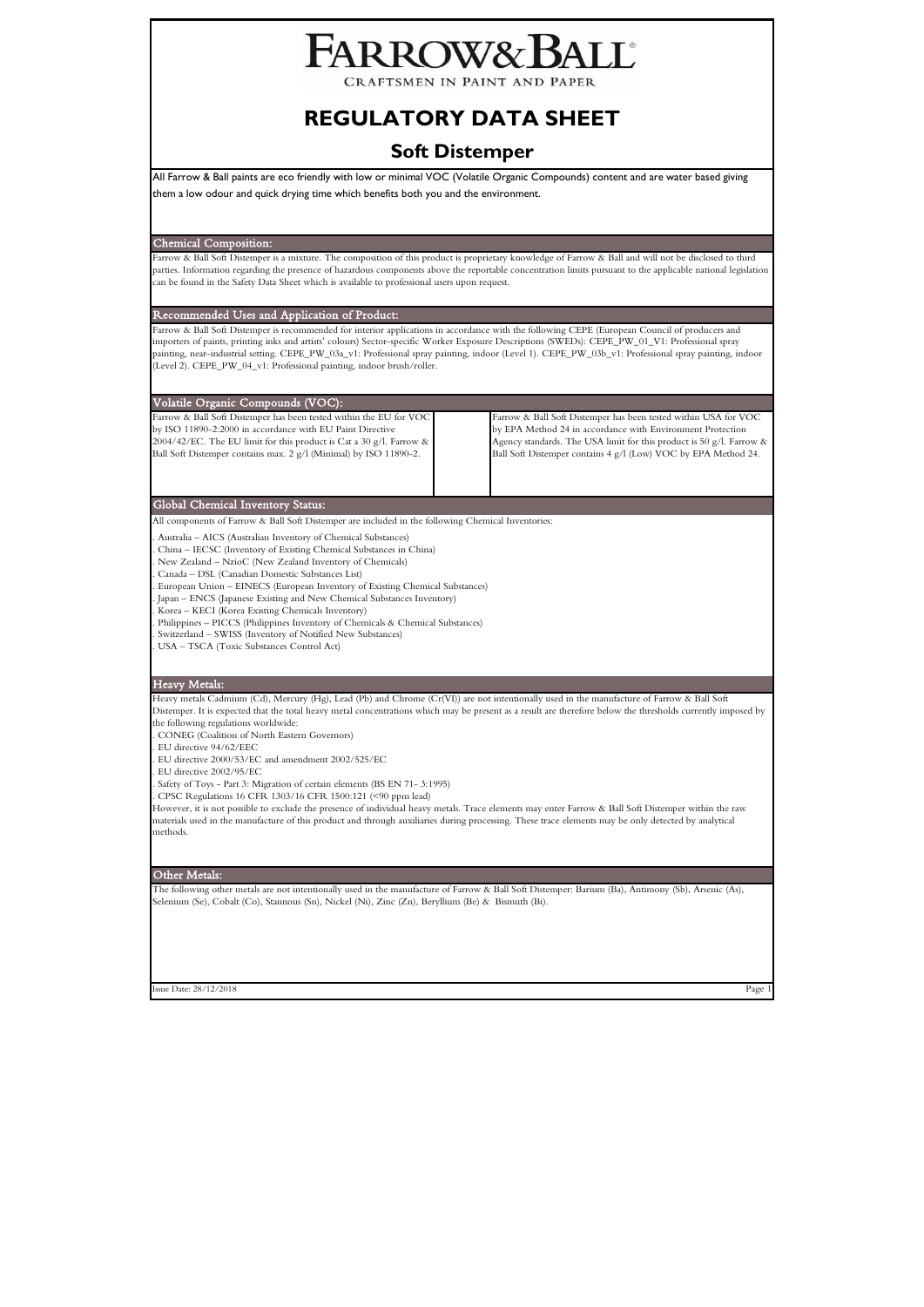# **ARROW&B**

CRAFTSMEN IN PAINT AND PAPER

# **REGULATORY DATA SHEET**

# **Soft Distemper**

All Farrow & Ball paints are eco friendly with low or minimal VOC (Volatile Organic Compounds) content and are water based giving them a low odour and quick drying time which benefits both you and the environment.

Chemical Composition:

Farrow & Ball Soft Distemper is a mixture. The composition of this product is proprietary knowledge of Farrow & Ball and will not be disclosed to third parties. Information regarding the presence of hazardous components above the reportable concentration limits pursuant to the applicable national legislation can be found in the Safety Data Sheet which is available to professional users upon request.

Recommended Uses and Application of Product:

Farrow & Ball Soft Distemper is recommended for interior applications in accordance with the following CEPE (European Council of producers and<br>importers of paints, printing inks and artists' colours) Sector-specific Worker painting, near-industrial setting. CEPE\_PW\_03a\_v1: Professional spray painting, indoor (Level 1). CEPE\_PW\_03b\_v1: Professional spray painting, indoor (Level 2). CEPE\_PW\_04\_v1: Professional painting, indoor brush/roller.

| Volatile Organic Compounds (VOC):                                                                                                                                                                                                                                              |  |                                                                                                                                                                                                                                                                         |  |  |  |
|--------------------------------------------------------------------------------------------------------------------------------------------------------------------------------------------------------------------------------------------------------------------------------|--|-------------------------------------------------------------------------------------------------------------------------------------------------------------------------------------------------------------------------------------------------------------------------|--|--|--|
| Farrow & Ball Soft Distemper has been tested within the EU for VOC<br>by ISO 11890-2:2000 in accordance with EU Paint Directive<br>2004/42/EC. The EU limit for this product is Cat a 30 g/l. Farrow $\&$<br>Ball Soft Distemper contains max. 2 g/l (Minimal) by ISO 11890-2. |  | Farrow & Ball Soft Distemper has been tested within USA for VOC<br>by EPA Method 24 in accordance with Environment Protection<br>Agency standards. The USA limit for this product is 50 g/l. Farrow &<br>Ball Soft Distemper contains 4 g/l (Low) VOC by EPA Method 24. |  |  |  |

Global Chemical Inventory Status:

All components of Farrow & Ball Soft Distemper are included in the following Chemical Inventories:

. Australia – AICS (Australian Inventory of Chemical Substances)

. China – IECSC (Inventory of Existing Chemical Substances in China)

. New Zealand – NzioC (New Zealand Inventory of Chemicals)

. Canada – DSL (Canadian Domestic Substances List)

. European Union – EINECS (European Inventory of Existing Chemical Substances) . Japan – ENCS (Japanese Existing and New Chemical Substances Inventory)

. Korea – KECI (Korea Existing Chemicals Inventory)

. Philippines – PICCS (Philippines Inventory of Chemicals & Chemical Substances)

. Switzerland – SWISS (Inventory of Notified New Substances)

. USA – TSCA (Toxic Substances Control Act)

# Heavy Metals:

Heavy metals Cadmium (Cd), Mercury (Hg), Lead (Pb) and Chrome (Cr(VI)) are not intentionally used in the manufacture of Farrow & Ball Soft Distemper. It is expected that the total heavy metal concentrations which may be present as a result are therefore below the thresholds currently imposed by the following regulations worldwide:

. CONEG (Coalition of North Eastern Governors)

. EU directive 94/62/EEC

. EU directive 2000/53/EC and amendment 2002/525/EC

. EU directive 2002/95/EC

. Safety of Toys - Part 3: Migration of certain elements (BS EN 71- 3:1995)

. CPSC Regulations 16 CFR 1303/16 CFR 1500:121 (<90 ppm lead)

However, it is not possible to exclude the presence of individual heavy metals. Trace elements may enter Farrow & Ball Soft Distemper within the raw materials used in the manufacture of this product and through auxiliaries during processing. These trace elements may be only detected by analytical methods.

## Other Metals:

The following other metals are not intentionally used in the manufacture of Farrow & Ball Soft Distemper: Barium (Ba), Antimony (Sb), Arsenic (As), Selenium (Se), Cobalt (Co), Stannous (Sn), Nickel (Ni), Zinc (Zn), Beryllium (Be) & Bismuth (Bi).

 $\log 28/12/2018$  Page